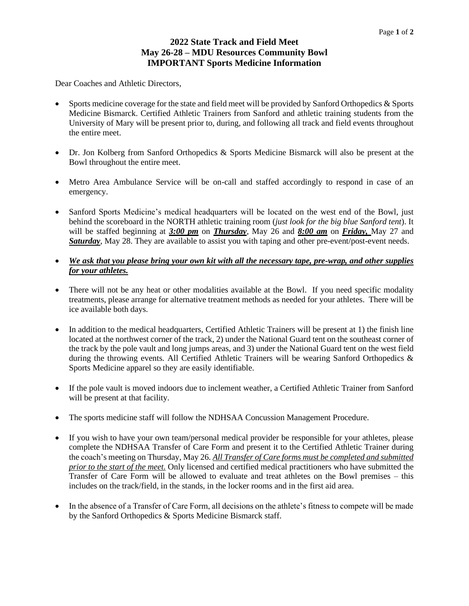## **2022 State Track and Field Meet May 26-28 – MDU Resources Community Bowl IMPORTANT Sports Medicine Information**

Dear Coaches and Athletic Directors,

- Sports medicine coverage for the state and field meet will be provided by Sanford Orthopedics & Sports Medicine Bismarck. Certified Athletic Trainers from Sanford and athletic training students from the University of Mary will be present prior to, during, and following all track and field events throughout the entire meet.
- Dr. Jon Kolberg from Sanford Orthopedics & Sports Medicine Bismarck will also be present at the Bowl throughout the entire meet.
- Metro Area Ambulance Service will be on-call and staffed accordingly to respond in case of an emergency.
- Sanford Sports Medicine's medical headquarters will be located on the west end of the Bowl, just behind the scoreboard in the NORTH athletic training room (*just look for the big blue Sanford tent*). It will be staffed beginning at *3:00 pm* on *Thursday*, May 26 and *8:00 am* on *Friday,* May 27 and *Saturday*, May 28. They are available to assist you with taping and other pre-event/post-event needs.
- *We ask that you please bring your own kit with all the necessary tape, pre-wrap, and other supplies for your athletes.*
- There will not be any heat or other modalities available at the Bowl. If you need specific modality treatments, please arrange for alternative treatment methods as needed for your athletes. There will be ice available both days.
- In addition to the medical headquarters, Certified Athletic Trainers will be present at 1) the finish line located at the northwest corner of the track, 2) under the National Guard tent on the southeast corner of the track by the pole vault and long jumps areas, and 3) under the National Guard tent on the west field during the throwing events. All Certified Athletic Trainers will be wearing Sanford Orthopedics & Sports Medicine apparel so they are easily identifiable.
- If the pole vault is moved indoors due to inclement weather, a Certified Athletic Trainer from Sanford will be present at that facility.
- The sports medicine staff will follow the NDHSAA Concussion Management Procedure.
- If you wish to have your own team/personal medical provider be responsible for your athletes, please complete the NDHSAA Transfer of Care Form and present it to the Certified Athletic Trainer during the coach's meeting on Thursday, May 26. *All Transfer of Care forms must be completed and submitted prior to the start of the meet.* Only licensed and certified medical practitioners who have submitted the Transfer of Care Form will be allowed to evaluate and treat athletes on the Bowl premises – this includes on the track/field, in the stands, in the locker rooms and in the first aid area.
- In the absence of a Transfer of Care Form, all decisions on the athlete's fitness to compete will be made by the Sanford Orthopedics & Sports Medicine Bismarck staff.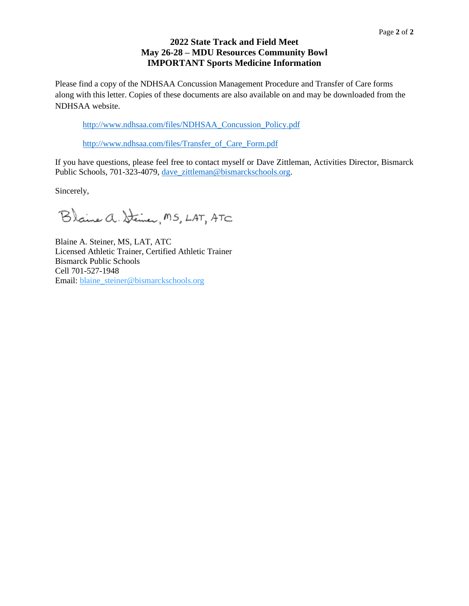### **2022 State Track and Field Meet May 26-28 – MDU Resources Community Bowl IMPORTANT Sports Medicine Information**

Please find a copy of the NDHSAA Concussion Management Procedure and Transfer of Care forms along with this letter. Copies of these documents are also available on and may be downloaded from the NDHSAA website.

[http://www.ndhsaa.com/files/NDHSAA\\_Concussion\\_Policy.pdf](http://www.ndhsaa.com/files/NDHSAA_Concussion_Policy.pdf)

[http://www.ndhsaa.com/files/Transfer\\_of\\_Care\\_Form.pdf](http://www.ndhsaa.com/files/Transfer_of_Care_Form.pdf)

If you have questions, please feel free to contact myself or Dave Zittleman, Activities Director, Bismarck Public Schools, 701-323-4079, dave zittleman@bismarckschools.org.

Sincerely,

Blaine a. Steiner, MS, LAT, ATC

Blaine A. Steiner, MS, LAT, ATC Licensed Athletic Trainer, Certified Athletic Trainer Bismarck Public Schools Cell 701-527-1948 Email: [blaine\\_steiner@bismarckschools.org](mailto:blaine_steiner@bismarckschools.org)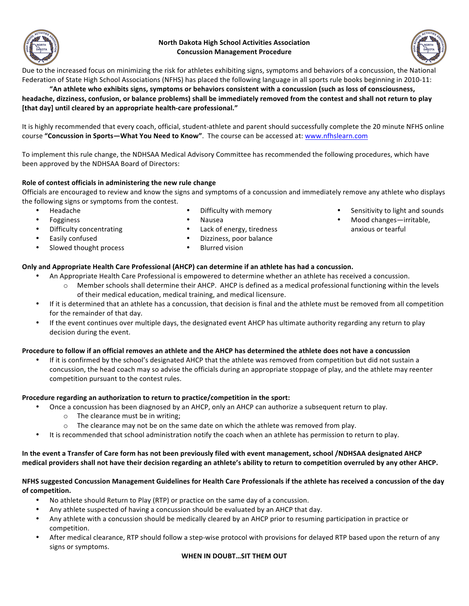

#### **North&Dakota&High&School&Activities&Association Concussion Management Procedure**



Due to the increased focus on minimizing the risk for athletes exhibiting signs, symptoms and behaviors of a concussion, the National Federation of State High School Associations (NFHS) has placed the following language in all sports rule books beginning in 2010-11:

#### "An athlete who exhibits signs, symptoms or behaviors consistent with a concussion (such as loss of consciousness, headache, dizziness, confusion, or balance problems) shall be immediately removed from the contest and shall not return to play [that day] until cleared by an appropriate health-care professional."

It is highly recommended that every coach, official, student-athlete and parent should successfully complete the 20 minute NFHS online course "Concussion in Sports-What You Need to Know". The course can be accessed at: www.nfhslearn.com

To implement this rule change, the NDHSAA Medical Advisory Committee has recommended the following procedures, which have been approved by the NDHSAA Board of Directors:

#### Role of contest officials in administering the new rule change

Officials are encouraged to review and know the signs and symptoms of a concussion and immediately remove any athlete who displays the following signs or symptoms from the contest.

• Headache

Difficulty with memory

- Fogginess
	- Difficulty concentrating

Slowed thought process

• Easily confused<br>• Slowed thought

- Dizziness, poor balance
	- **Blurred vision**

#### **Only and Appropriate Health Care Professional (AHCP) can determine if an athlete has had a concussion.**

- An Appropriate Health Care Professional is empowered to determine whether an athlete has received a concussion.  $\circ$  Member schools shall determine their AHCP. AHCP is defined as a medical professional functioning within the levels
	- of their medical education, medical training, and medical licensure.
- If it is determined that an athlete has a concussion, that decision is final and the athlete must be removed from all competition for the remainder of that day.
- If the event continues over multiple days, the designated event AHCP has ultimate authority regarding any return to play decision during the event.

#### Procedure to follow if an official removes an athlete and the AHCP has determined the athlete does not have a concussion

If it is confirmed by the school's designated AHCP that the athlete was removed from competition but did not sustain a concussion, the head coach may so advise the officials during an appropriate stoppage of play, and the athlete may reenter competition pursuant to the contest rules.

#### **Procedure regarding an authorization to return to practice/competition in the sport:**

- Once a concussion has been diagnosed by an AHCP, only an AHCP can authorize a subsequent return to play.
	- $\circ$  The clearance must be in writing;
	- $\circ$  The clearance may not be on the same date on which the athlete was removed from play.
- It is recommended that school administration notify the coach when an athlete has permission to return to play.

#### In the event a Transfer of Care form has not been previously filed with event management, school /NDHSAA designated AHCP medical providers shall not have their decision regarding an athlete's ability to return to competition overruled by any other AHCP.

#### NFHS suggested Concussion Management Guidelines for Health Care Professionals if the athlete has received a concussion of the day of competition.

- No athlete should Return to Play (RTP) or practice on the same day of a concussion.
- Any athlete suspected of having a concussion should be evaluated by an AHCP that day.
- Any athlete with a concussion should be medically cleared by an AHCP prior to resuming participation in practice or competition.
- After medical clearance, RTP should follow a step-wise protocol with provisions for delayed RTP based upon the return of any signs or symptoms.

#### WHEN IN DOUBT...SIT THEM OUT

- Sensitivity to light and sounds
	- Mood changes—irritable, anxious or tearful
- Nausea Lack of energy, tiredness
- -